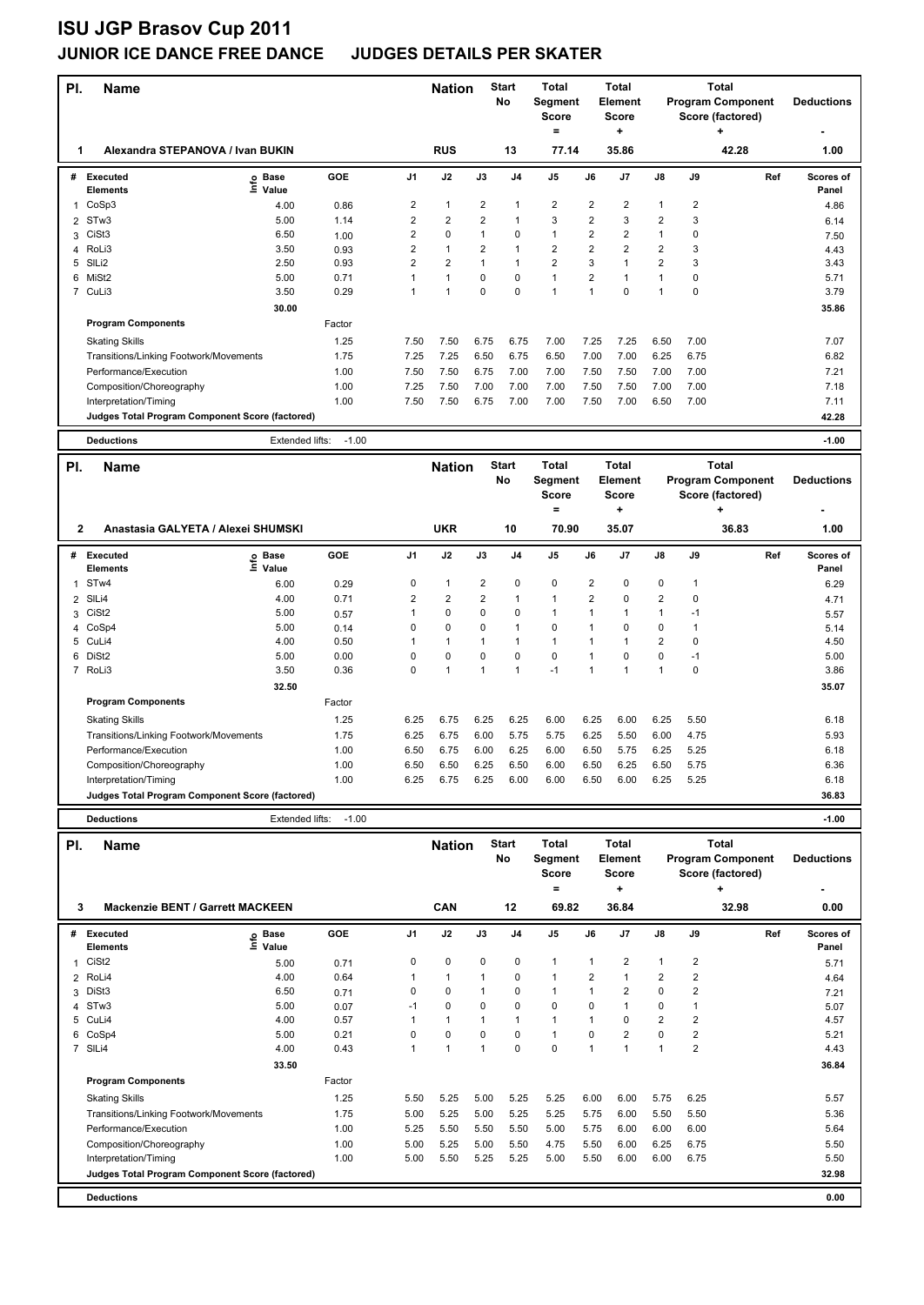### **JUNIOR ICE DANCE FREE DANCE JUDGES DETAILS PER SKATER**

| PI.            | Name                                            |                   |            |                         | <b>Nation</b>           |                    | <b>Start</b><br>No                      | Total<br>Segment<br><b>Score</b> |                                         | Total<br>Element<br>Score |                         |                                                              | <b>Total</b><br><b>Program Component</b><br>Score (factored) |                   | <b>Deductions</b>  |
|----------------|-------------------------------------------------|-------------------|------------|-------------------------|-------------------------|--------------------|-----------------------------------------|----------------------------------|-----------------------------------------|---------------------------|-------------------------|--------------------------------------------------------------|--------------------------------------------------------------|-------------------|--------------------|
| 1              | Alexandra STEPANOVA / Ivan BUKIN                |                   |            |                         | <b>RUS</b>              |                    | 13                                      | $\equiv$<br>77.14                |                                         | ÷<br>35.86                |                         |                                                              | 42.28                                                        |                   | 1.00               |
| #              | <b>Executed</b><br>Info<br><b>Elements</b>      | Base<br>Value     | <b>GOE</b> | J1                      | J2                      | J3                 | J4                                      | J5                               | J6                                      | J7                        | J8                      | J9                                                           |                                                              | Ref               | Scores of<br>Panel |
| 1              | CoSp3                                           | 4.00              | 0.86       | 2                       | $\mathbf{1}$            | 2                  | $\mathbf{1}$                            | $\overline{c}$                   | 2                                       | 2                         | 1                       | 2                                                            |                                                              |                   | 4.86               |
| 2              | STw3                                            | 5.00              | 1.14       | 2                       | $\overline{\mathbf{c}}$ | 2                  | $\mathbf{1}$                            | 3                                | $\overline{\mathbf{c}}$                 | 3                         | $\overline{\mathbf{c}}$ | 3                                                            |                                                              |                   |                    |
|                | CiSt <sub>3</sub>                               | 6.50              |            | $\overline{2}$          | 0                       | 1                  | $\mathbf 0$                             | $\mathbf{1}$                     | $\overline{2}$                          | $\overline{2}$            | $\mathbf{1}$            | 0                                                            |                                                              |                   | 6.14               |
| 3              |                                                 |                   | 1.00       |                         |                         |                    | $\mathbf{1}$                            | $\overline{2}$                   | $\overline{2}$                          |                           |                         |                                                              |                                                              |                   | 7.50               |
| 4              | RoLi3                                           | 3.50              | 0.93       | $\overline{\mathbf{c}}$ | $\mathbf{1}$            | 2                  |                                         |                                  |                                         | $\overline{\mathbf{c}}$   | $\overline{\mathbf{c}}$ | 3                                                            |                                                              |                   | 4.43               |
| 5              | SIL <sub>i2</sub>                               | 2.50              | 0.93       | $\overline{2}$          | 2                       | 1                  | $\mathbf{1}$                            | $\overline{2}$                   | 3                                       | $\mathbf{1}$              | $\overline{\mathbf{c}}$ | 3                                                            |                                                              |                   | 3.43               |
| 6              | MiSt <sub>2</sub>                               | 5.00              | 0.71       | $\mathbf{1}$            | $\mathbf{1}$            | 0                  | $\mathbf 0$                             | $\mathbf{1}$                     | $\overline{\mathbf{c}}$                 | $\mathbf{1}$              | $\mathbf{1}$            | 0                                                            |                                                              |                   | 5.71               |
|                | 7 CuLi3                                         | 3.50              | 0.29       | $\mathbf{1}$            | $\mathbf{1}$            | 0                  | $\mathbf 0$                             | $\mathbf{1}$                     | $\mathbf{1}$                            | 0                         | $\mathbf{1}$            | 0                                                            |                                                              |                   | 3.79               |
|                |                                                 | 30.00             |            |                         |                         |                    |                                         |                                  |                                         |                           |                         |                                                              |                                                              |                   | 35.86              |
|                | <b>Program Components</b>                       |                   | Factor     |                         |                         |                    |                                         |                                  |                                         |                           |                         |                                                              |                                                              |                   |                    |
|                | <b>Skating Skills</b>                           |                   | 1.25       | 7.50                    | 7.50                    | 6.75               | 6.75                                    | 7.00                             | 7.25                                    | 7.25                      | 6.50                    | 7.00                                                         |                                                              |                   | 7.07               |
|                |                                                 |                   |            |                         |                         |                    |                                         |                                  |                                         |                           |                         |                                                              |                                                              |                   |                    |
|                | Transitions/Linking Footwork/Movements          |                   | 1.75       | 7.25                    | 7.25                    | 6.50               | 6.75                                    | 6.50                             | 7.00                                    | 7.00                      | 6.25                    | 6.75                                                         |                                                              |                   | 6.82               |
|                | Performance/Execution                           |                   | 1.00       | 7.50                    | 7.50                    | 6.75               | 7.00                                    | 7.00                             | 7.50                                    | 7.50                      | 7.00                    | 7.00                                                         |                                                              |                   | 7.21               |
|                | Composition/Choreography                        |                   | 1.00       | 7.25                    | 7.50                    | 7.00               | 7.00                                    | 7.00                             | 7.50                                    | 7.50                      | 7.00                    | 7.00                                                         |                                                              |                   | 7.18               |
|                | Interpretation/Timing                           |                   | 1.00       | 7.50                    | 7.50                    | 6.75               | 7.00                                    | 7.00                             | 7.50                                    | 7.00                      | 6.50                    | 7.00                                                         |                                                              |                   | 7.11               |
|                | Judges Total Program Component Score (factored) |                   |            |                         |                         |                    |                                         |                                  |                                         |                           |                         |                                                              |                                                              |                   | 42.28              |
|                |                                                 |                   |            |                         |                         |                    |                                         |                                  |                                         |                           |                         |                                                              |                                                              |                   |                    |
|                | <b>Deductions</b>                               | Extended lifts:   | $-1.00$    |                         |                         |                    |                                         |                                  |                                         |                           |                         |                                                              |                                                              |                   | $-1.00$            |
| PI.            | Name                                            |                   |            | <b>Nation</b>           |                         | <b>Start</b><br>No | <b>Total</b><br>Segment<br><b>Score</b> |                                  | <b>Total</b><br>Element<br><b>Score</b> |                           |                         | <b>Total</b><br><b>Program Component</b><br>Score (factored) |                                                              | <b>Deductions</b> |                    |
|                |                                                 |                   |            |                         |                         |                    |                                         | $=$                              |                                         | ÷                         |                         |                                                              | +                                                            |                   |                    |
| 2              | Anastasia GALYETA / Alexei SHUMSKI              |                   |            |                         | <b>UKR</b>              |                    | 10                                      | 70.90                            |                                         | 35.07                     |                         |                                                              | 36.83                                                        |                   | 1.00               |
| #              | Executed                                        |                   | <b>GOE</b> | J <sub>1</sub>          | J2                      | J3                 | J4                                      | J5                               | J6                                      | J7                        | J8                      | J9                                                           |                                                              | Ref               | <b>Scores of</b>   |
|                | <b>Elements</b>                                 | e Base<br>⊑ Value |            |                         |                         |                    |                                         |                                  |                                         |                           |                         |                                                              |                                                              |                   | Panel              |
| 1              | ST <sub>w</sub> 4                               | 6.00              | 0.29       | 0                       | $\mathbf{1}$            | 2                  | 0                                       | 0                                | 2                                       | 0                         | 0                       | 1                                                            |                                                              |                   | 6.29               |
| $\overline{2}$ | SIL <sub>i4</sub>                               | 4.00              | 0.71       | 2                       | $\overline{\mathbf{c}}$ | 2                  | $\mathbf{1}$                            | $\mathbf{1}$                     | $\overline{\mathbf{c}}$                 | 0                         | $\overline{\mathbf{c}}$ | 0                                                            |                                                              |                   | 4.71               |
| 3              | CiSt <sub>2</sub>                               | 5.00              |            | 1                       | 0                       | 0                  | $\mathbf 0$                             | $\mathbf{1}$                     | $\mathbf{1}$                            | $\mathbf{1}$              | $\mathbf{1}$            | $-1$                                                         |                                                              |                   |                    |
|                | CoSp4                                           | 5.00              | 0.57       | 0                       | 0                       | 0                  | $\overline{1}$                          | $\pmb{0}$                        | 1                                       | 0                         | 0                       | 1                                                            |                                                              |                   | 5.57               |
| 4              |                                                 |                   | 0.14       |                         |                         |                    |                                         |                                  |                                         |                           | $\overline{2}$          |                                                              |                                                              |                   | 5.14               |
| 5              | CuLi4                                           | 4.00              | 0.50       | 1                       | $\mathbf{1}$            | 1                  | $\overline{1}$                          | $\mathbf{1}$                     | 1                                       | $\mathbf{1}$              |                         | 0                                                            |                                                              |                   | 4.50               |
| 6              | DiSt <sub>2</sub>                               | 5.00              | 0.00       | 0                       | 0                       | 0                  | $\mathbf 0$                             | $\mathbf 0$                      | 1                                       | 0                         | 0                       | $-1$                                                         |                                                              |                   | 5.00               |
|                | 7 RoLi3                                         | 3.50              | 0.36       | 0                       | $\mathbf{1}$            | $\mathbf{1}$       | $\mathbf{1}$                            | $-1$                             | $\mathbf{1}$                            | $\mathbf{1}$              | $\mathbf{1}$            | 0                                                            |                                                              |                   | 3.86               |
|                |                                                 | 32.50             |            |                         |                         |                    |                                         |                                  |                                         |                           |                         |                                                              |                                                              |                   | 35.07              |
|                | <b>Program Components</b>                       |                   | Factor     |                         |                         |                    |                                         |                                  |                                         |                           |                         |                                                              |                                                              |                   |                    |
|                | <b>Skating Skills</b>                           |                   | 1.25       | 6.25                    | 6.75                    | 6.25               | 6.25                                    | 6.00                             | 6.25                                    | 6.00                      | 6.25                    | 5.50                                                         |                                                              |                   | 6.18               |
|                | Transitions/Linking Footwork/Movements          |                   |            | 6.25                    | 6.75                    | 6.00               | 5.75                                    | 5.75                             | 6.25                                    | 5.50                      | 6.00                    | 4.75                                                         |                                                              |                   | 5.93               |
|                |                                                 |                   | 1.75       |                         |                         |                    |                                         |                                  |                                         |                           |                         |                                                              |                                                              |                   |                    |
|                | Performance/Execution                           |                   | 1.00       | 6.50                    | 6.75                    | 6.00               | 6.25                                    | 6.00                             | 6.50                                    | 5.75                      | 6.25                    | 5.25                                                         |                                                              |                   | 6.18               |
|                | Composition/Choreography                        |                   | 1.00       | 6.50                    | 6.50                    | 6.25               | 6.50                                    | 6.00                             | 6.50                                    | 6.25                      | 6.50                    | 5.75                                                         |                                                              |                   | 6.36               |
|                | Interpretation/Timing                           |                   | 1.00       | 6.25                    | 6.75                    | 6.25               | 6.00                                    | 6.00                             | 6.50                                    | 6.00                      | 6.25                    | 5.25                                                         |                                                              |                   | 6.18               |
|                | Judges Total Program Component Score (factored) |                   |            |                         |                         |                    |                                         |                                  |                                         |                           |                         |                                                              |                                                              |                   | 36.83              |
|                | <b>Deductions</b>                               | Extended lifts:   | $-1.00$    |                         |                         |                    |                                         |                                  |                                         |                           |                         |                                                              |                                                              |                   | $-1.00$            |
| PI.            |                                                 |                   |            |                         | <b>Nation</b>           |                    | <b>Start</b>                            | Total                            |                                         | <b>Total</b>              |                         |                                                              | <b>Total</b>                                                 |                   |                    |
|                | Name                                            |                   |            |                         |                         |                    | No                                      | Segment                          |                                         | Element                   |                         |                                                              | <b>Program Component</b>                                     |                   | <b>Deductions</b>  |
|                |                                                 |                   |            |                         |                         |                    |                                         | <b>Score</b>                     |                                         | Score                     |                         |                                                              | Score (factored)                                             |                   |                    |
|                |                                                 |                   |            |                         |                         |                    |                                         | $=$                              |                                         | ۰.                        |                         |                                                              | ٠                                                            |                   |                    |
| 3              | <b>Mackenzie BENT / Garrett MACKEEN</b>         |                   |            |                         | CAN                     |                    | 12                                      | 69.82                            |                                         | 36.84                     |                         |                                                              | 32.98                                                        |                   | 0.00               |
|                |                                                 |                   |            |                         |                         |                    |                                         |                                  |                                         |                           |                         |                                                              |                                                              |                   |                    |
| #              | <b>Executed</b><br>e                            | Base              | GOE        | J1                      | J2                      | $\mathsf{J3}$      | J4                                      | J5                               | J6                                      | J7                        | J8                      | J9                                                           |                                                              | Ref               | Scores of          |
|                | Elements                                        | Value             |            |                         |                         |                    |                                         |                                  |                                         |                           |                         |                                                              |                                                              |                   | Panel              |
| 1              | CiSt <sub>2</sub>                               | 5.00              | 0.71       | 0                       | 0                       | 0                  | 0                                       | $\mathbf{1}$                     | 1                                       | 2                         | 1                       | 2                                                            |                                                              |                   | 5.71               |
| 2              | RoLi4                                           | 4.00              | 0.64       | 1                       | $\mathbf{1}$            | 1                  | $\mathbf 0$                             | $\mathbf{1}$                     | $\overline{2}$                          | $\mathbf{1}$              | $\overline{\mathbf{c}}$ | $\overline{\mathbf{c}}$                                      |                                                              |                   | 4.64               |
| 3              | DiSt3                                           | 6.50              | 0.71       | 0                       | $\pmb{0}$               | 1                  | 0                                       | $\mathbf{1}$                     | 1                                       | 2                         | 0                       | 2                                                            |                                                              |                   | 7.21               |
| 4              | STw3                                            | 5.00              | 0.07       | $-1$                    | 0                       | 0                  | $\mathbf 0$                             | $\mathbf 0$                      | 0                                       | $\mathbf{1}$              | 0                       | 1                                                            |                                                              |                   | 5.07               |
| 5              | CuLi4                                           | 4.00              | 0.57       | 1                       | $\mathbf{1}$            | 1                  | $\mathbf{1}$                            | $\mathbf{1}$                     | 1                                       | 0                         | $\overline{2}$          | $\overline{2}$                                               |                                                              |                   | 4.57               |
| 6              | CoSp4                                           | 5.00              | 0.21       | 0                       | 0                       | 0                  | $\mathbf 0$                             | $\mathbf{1}$                     | 0                                       | $\overline{2}$            | 0                       | $\overline{2}$                                               |                                                              |                   | 5.21               |
|                | 7 SILi4                                         | 4.00              | 0.43       | 1                       | $\mathbf{1}$            | 1                  | $\mathbf 0$                             | $\pmb{0}$                        | $\mathbf{1}$                            | $\mathbf{1}$              | $\mathbf{1}$            | $\overline{2}$                                               |                                                              |                   | 4.43               |
|                |                                                 | 33.50             |            |                         |                         |                    |                                         |                                  |                                         |                           |                         |                                                              |                                                              |                   | 36.84              |
|                | <b>Program Components</b>                       |                   | Factor     |                         |                         |                    |                                         |                                  |                                         |                           |                         |                                                              |                                                              |                   |                    |
|                |                                                 |                   |            |                         |                         |                    |                                         |                                  |                                         |                           |                         |                                                              |                                                              |                   |                    |
|                | <b>Skating Skills</b>                           |                   | 1.25       | 5.50                    | 5.25                    | 5.00               | 5.25                                    | 5.25                             | 6.00                                    | 6.00                      | 5.75                    | 6.25                                                         |                                                              |                   | 5.57               |
|                | Transitions/Linking Footwork/Movements          |                   | 1.75       | 5.00                    | 5.25                    | 5.00               | 5.25                                    | 5.25                             | 5.75                                    | 6.00                      | 5.50                    | 5.50                                                         |                                                              |                   | 5.36               |
|                | Performance/Execution                           |                   | 1.00       | 5.25                    | 5.50                    | 5.50               | 5.50                                    | 5.00                             | 5.75                                    | 6.00                      | 6.00                    | 6.00                                                         |                                                              |                   | 5.64               |
|                | Composition/Choreography                        |                   | 1.00       | 5.00                    | 5.25                    | 5.00               | 5.50                                    | 4.75                             | 5.50                                    | 6.00                      | 6.25                    | 6.75                                                         |                                                              |                   | 5.50               |
|                | Interpretation/Timing                           |                   | 1.00       | 5.00                    | 5.50                    | 5.25               | 5.25                                    | 5.00                             | 5.50                                    | 6.00                      | 6.00                    | 6.75                                                         |                                                              |                   | 5.50               |

**Deductions 0.00 Judges Total Program Component Score (factored) 32.98**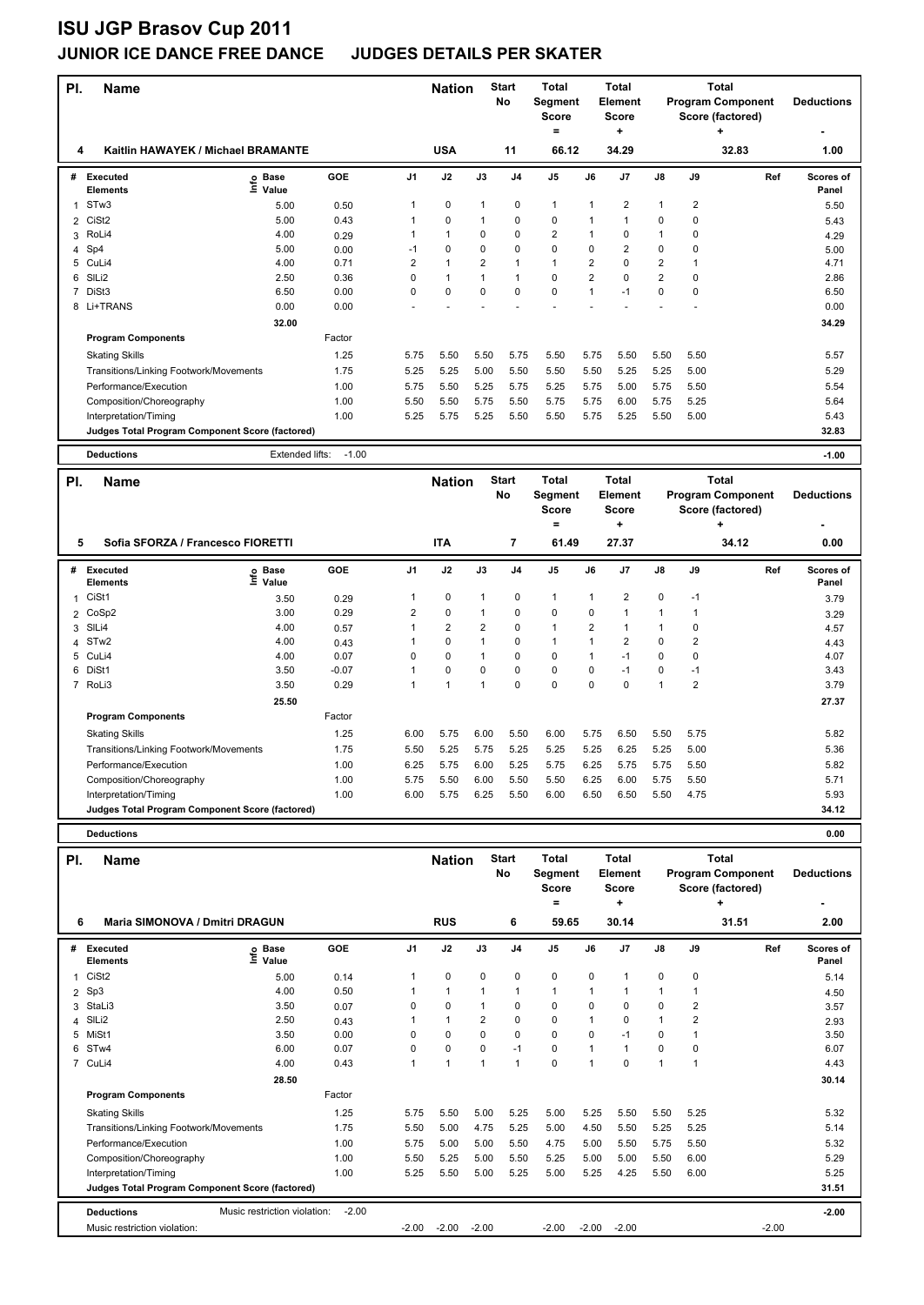### **JUNIOR ICE DANCE FREE DANCE JUDGES DETAILS PER SKATER**

|                |                                                   |                   |              |                |                |                |                    | <b>Total</b>   |                | <b>Total</b>            |                |                | <b>Total</b>             |     |                   |
|----------------|---------------------------------------------------|-------------------|--------------|----------------|----------------|----------------|--------------------|----------------|----------------|-------------------------|----------------|----------------|--------------------------|-----|-------------------|
| PI.            | <b>Name</b>                                       |                   |              |                | <b>Nation</b>  |                | <b>Start</b><br>No | Segment        |                | <b>Element</b>          |                |                | <b>Program Component</b> |     | <b>Deductions</b> |
|                |                                                   |                   |              |                |                |                |                    | <b>Score</b>   |                | <b>Score</b>            |                |                | Score (factored)         |     |                   |
|                |                                                   |                   |              |                |                |                |                    | =              |                | ÷                       |                |                | ÷                        |     |                   |
| 4              | Kaitlin HAWAYEK / Michael BRAMANTE                |                   |              |                | <b>USA</b>     |                | 11                 | 66.12          |                | 34.29                   |                |                | 32.83                    |     | 1.00              |
| #              | Executed                                          | <b>Base</b>       | <b>GOE</b>   | J <sub>1</sub> | J2             | J3             | J <sub>4</sub>     | J <sub>5</sub> | J6             | J7                      | J8             | J9             |                          | Ref | Scores of         |
|                | <b>Elements</b>                                   | e Base<br>⊑ Value |              |                |                |                |                    |                |                |                         |                |                |                          |     | Panel             |
| 1              | STw3                                              | 5.00              | 0.50         | 1              | $\mathbf 0$    | $\mathbf{1}$   | $\mathbf 0$        | $\mathbf{1}$   | $\mathbf{1}$   | $\overline{2}$          | $\mathbf{1}$   | $\overline{2}$ |                          |     | 5.50              |
| $\overline{2}$ | CiSt <sub>2</sub>                                 | 5.00              | 0.43         | 1              | 0              | $\mathbf{1}$   | 0                  | $\pmb{0}$      | $\mathbf{1}$   | $\mathbf{1}$            | 0              | 0              |                          |     | 5.43              |
| 3              | RoLi4                                             | 4.00              | 0.29         | 1              | $\mathbf{1}$   | 0              | 0                  | $\overline{2}$ | $\mathbf{1}$   | $\mathbf 0$             | $\mathbf{1}$   | 0              |                          |     | 4.29              |
| 4              | Sp4                                               | 5.00              | 0.00         | $-1$           | 0              | 0              | 0                  | $\pmb{0}$      | 0              | $\overline{\mathbf{c}}$ | $\pmb{0}$      | $\mathbf 0$    |                          |     | 5.00              |
| 5              | CuLi4                                             | 4.00              | 0.71         | $\overline{2}$ | $\mathbf{1}$   | $\overline{2}$ | $\mathbf{1}$       | $\mathbf{1}$   | $\overline{2}$ | $\mathbf 0$             | $\overline{2}$ | $\mathbf{1}$   |                          |     | 4.71              |
| 6              | SILi2                                             | 2.50              | 0.36         | 0              | $\mathbf{1}$   | 1              | $\mathbf{1}$       | $\pmb{0}$      | $\overline{2}$ | $\mathbf 0$             | $\overline{2}$ | 0              |                          |     | 2.86              |
| $\overline{7}$ | DiSt3                                             | 6.50              | 0.00         | 0              | 0              | 0              | $\mathbf 0$        | $\mathbf 0$    | $\mathbf{1}$   | $-1$                    | $\pmb{0}$      | $\mathbf 0$    |                          |     | 6.50              |
|                | 8 Li+TRANS                                        | 0.00              | 0.00         |                |                |                |                    |                |                |                         |                |                |                          |     | 0.00              |
|                |                                                   | 32.00             |              |                |                |                |                    |                |                |                         |                |                |                          |     | 34.29             |
|                | <b>Program Components</b>                         |                   | Factor       |                |                |                |                    |                |                |                         |                |                |                          |     |                   |
|                | <b>Skating Skills</b>                             |                   | 1.25         | 5.75           | 5.50           | 5.50           | 5.75               | 5.50           | 5.75           | 5.50                    | 5.50           | 5.50           |                          |     | 5.57              |
|                | Transitions/Linking Footwork/Movements            |                   | 1.75         | 5.25           | 5.25           | 5.00           | 5.50               | 5.50           | 5.50           | 5.25                    | 5.25           | 5.00           |                          |     | 5.29              |
|                | Performance/Execution                             |                   | 1.00         | 5.75           | 5.50           | 5.25           | 5.75               | 5.25           | 5.75           | 5.00                    | 5.75           | 5.50           |                          |     | 5.54              |
|                | Composition/Choreography                          |                   | 1.00         | 5.50           | 5.50           | 5.75           | 5.50               | 5.75           | 5.75           | 6.00                    | 5.75           | 5.25           |                          |     | 5.64              |
|                | Interpretation/Timing                             |                   | 1.00         | 5.25           | 5.75           | 5.25           | 5.50               | 5.50           | 5.75           | 5.25                    | 5.50           | 5.00           |                          |     | 5.43              |
|                | Judges Total Program Component Score (factored)   |                   |              |                |                |                |                    |                |                |                         |                |                |                          |     | 32.83             |
|                |                                                   |                   |              |                |                |                |                    |                |                |                         |                |                |                          |     |                   |
|                | <b>Deductions</b>                                 | Extended lifts:   | $-1.00$      |                |                |                |                    |                |                |                         |                |                |                          |     | $-1.00$           |
|                |                                                   |                   |              |                |                |                | <b>Start</b>       | <b>Total</b>   |                | <b>Total</b>            |                |                | <b>Total</b>             |     |                   |
| PI.            | Name                                              |                   |              |                | <b>Nation</b>  |                | No                 | Segment        |                | <b>Element</b>          |                |                | <b>Program Component</b> |     | <b>Deductions</b> |
|                |                                                   |                   |              |                |                |                |                    | <b>Score</b>   |                | <b>Score</b>            |                |                | Score (factored)         |     |                   |
|                |                                                   |                   |              |                |                |                |                    | $=$            |                | 4                       |                |                | ٠                        |     |                   |
| 5              | Sofia SFORZA / Francesco FIORETTI                 |                   |              |                | <b>ITA</b>     |                | $\overline{7}$     | 61.49          |                | 27.37                   |                |                | 34.12                    |     | 0.00              |
| #              | <b>Executed</b>                                   | <b>Base</b><br>ٯ  | GOE          | J <sub>1</sub> | J2             | J3             | J <sub>4</sub>     | $\mathsf{J}5$  | J6             | J7                      | J8             | J9             |                          | Ref | Scores of         |
|                | <b>Elements</b>                                   | Ξ.<br>Value       |              |                |                |                |                    |                |                |                         |                |                |                          |     | Panel             |
| $\mathbf{1}$   | CiSt1                                             | 3.50              | 0.29         | 1              | 0              | 1              | 0                  | $\mathbf{1}$   | $\mathbf{1}$   | 2                       | 0              | $-1$           |                          |     | 3.79              |
| $\overline{2}$ | CoSp2                                             | 3.00              | 0.29         | $\overline{2}$ | 0              | $\mathbf{1}$   | $\Omega$           | 0              | $\mathbf 0$    | $\mathbf 1$             | $\mathbf{1}$   | $\mathbf{1}$   |                          |     | 3.29              |
|                | 3 SILi4                                           | 4.00              | 0.57         | 1              | $\overline{2}$ | $\overline{2}$ | 0                  | $\mathbf{1}$   | $\overline{2}$ | $\mathbf{1}$            | $\mathbf{1}$   | $\mathbf 0$    |                          |     | 4.57              |
| 4              | ST <sub>w</sub> 2                                 | 4.00              | 0.43         | 1              | 0              | $\mathbf{1}$   | 0                  | $\mathbf{1}$   | $\mathbf{1}$   | $\overline{2}$          | $\mathbf 0$    | $\overline{2}$ |                          |     | 4.43              |
| 5              | CuLi4                                             | 4.00              | 0.07         | 0              | 0              | $\mathbf{1}$   | 0                  | $\mathbf 0$    | $\mathbf{1}$   | $-1$                    | $\pmb{0}$      | $\pmb{0}$      |                          |     | 4.07              |
| 6              | DiSt1                                             | 3.50              | $-0.07$      | 1              | 0              | 0              | 0                  | $\mathbf 0$    | $\mathbf 0$    | $-1$                    | $\mathbf 0$    | $-1$           |                          |     | 3.43              |
|                | 7 RoLi3                                           | 3.50              | 0.29         | 1              | $\mathbf{1}$   | $\mathbf{1}$   | 0                  | $\mathbf 0$    | $\mathbf 0$    | $\mathbf 0$             | $\mathbf{1}$   | $\overline{2}$ |                          |     | 3.79              |
|                |                                                   | 25.50             |              |                |                |                |                    |                |                |                         |                |                |                          |     | 27.37             |
|                | <b>Program Components</b>                         |                   | Factor       |                |                |                |                    |                |                |                         |                |                |                          |     |                   |
|                | <b>Skating Skills</b>                             |                   | 1.25         | 6.00           | 5.75           | 6.00           | 5.50               | 6.00           | 5.75           | 6.50                    | 5.50           | 5.75           |                          |     | 5.82              |
|                | Transitions/Linking Footwork/Movements            |                   | 1.75         | 5.50           | 5.25           | 5.75           | 5.25               | 5.25           | 5.25           | 6.25                    | 5.25           | 5.00           |                          |     | 5.36              |
|                | Performance/Execution                             |                   | 1.00         | 6.25           | 5.75           | 6.00           | 5.25               | 5.75           | 6.25           | 5.75                    | 5.75           | 5.50           |                          |     | 5.82              |
|                | Composition/Choreography<br>Interpretation/Timing |                   | 1.00<br>1.00 | 5.75<br>6.00   | 5.50<br>5.75   | 6.00<br>6.25   | 5.50<br>5.50       | 5.50<br>6.00   | 6.25<br>6.50   | 6.00<br>6.50            | 5.75<br>5.50   | 5.50<br>4.75   |                          |     | 5.71<br>5.93      |

|     | <b>Deductions</b>                                      |                              |            |                |               |                |                    |                                                     |              |                                                     |          |              |                                                                   | 0.00                   |
|-----|--------------------------------------------------------|------------------------------|------------|----------------|---------------|----------------|--------------------|-----------------------------------------------------|--------------|-----------------------------------------------------|----------|--------------|-------------------------------------------------------------------|------------------------|
| PI. | <b>Name</b>                                            |                              |            |                | <b>Nation</b> |                | <b>Start</b><br>No | <b>Total</b><br>Segment<br><b>Score</b><br>$\equiv$ |              | <b>Total</b><br><b>Element</b><br><b>Score</b><br>÷ |          |              | <b>Total</b><br><b>Program Component</b><br>Score (factored)<br>٠ | <b>Deductions</b><br>٠ |
| 6   | <b>Maria SIMONOVA / Dmitri DRAGUN</b>                  |                              |            |                | <b>RUS</b>    |                | 6                  | 59.65                                               |              | 30.14                                               |          |              | 31.51                                                             | 2.00                   |
| #   | Executed<br><b>Elements</b>                            | o Base<br>$\bar{\Xi}$ Value  | <b>GOE</b> | J <sub>1</sub> | J2            | J3             | J <sub>4</sub>     | J <sub>5</sub>                                      | J6           | J7                                                  | J8       | J9           | Ref                                                               | Scores of<br>Panel     |
| 1   | CiSt <sub>2</sub>                                      | 5.00                         | 0.14       | 1              | 0             | $\mathbf 0$    | 0                  | 0                                                   | 0            | $\mathbf{1}$                                        | 0        | 0            |                                                                   | 5.14                   |
|     | $2$ Sp3                                                | 4.00                         | 0.50       |                | $\mathbf{1}$  | $\mathbf{1}$   | 1                  | 1                                                   | $\mathbf{1}$ | 1                                                   |          | $\mathbf{1}$ |                                                                   | 4.50                   |
|     | 3 StaLi3                                               | 3.50                         | 0.07       | 0              | $\Omega$      | 1              | $\Omega$           | $\Omega$                                            | 0            | $\Omega$                                            | 0        | 2            |                                                                   | 3.57                   |
|     | 4 SILi2                                                | 2.50                         | 0.43       |                | $\mathbf{1}$  | $\overline{2}$ | 0                  | $\Omega$                                            | $\mathbf{1}$ | 0                                                   |          | 2            |                                                                   | 2.93                   |
|     | 5 MiSt1                                                | 3.50                         | 0.00       | 0              | $\Omega$      | $\mathbf 0$    | 0                  | $\Omega$                                            | 0            | $-1$                                                | 0        | $\mathbf{1}$ |                                                                   | 3.50                   |
|     | 6 STw4                                                 | 6.00                         | 0.07       | 0              | $\Omega$      | $\Omega$       | $-1$               | $\Omega$                                            | $\mathbf{1}$ | $\overline{1}$                                      | $\Omega$ | $\mathbf 0$  |                                                                   | 6.07                   |
|     | 7 CuLi4                                                | 4.00                         | 0.43       | 1              | 1             | $\mathbf{1}$   | $\mathbf{1}$       | $\Omega$                                            | 1            | $\mathbf 0$                                         |          | $\mathbf{1}$ |                                                                   | 4.43                   |
|     |                                                        | 28.50                        |            |                |               |                |                    |                                                     |              |                                                     |          |              |                                                                   | 30.14                  |
|     | <b>Program Components</b>                              |                              | Factor     |                |               |                |                    |                                                     |              |                                                     |          |              |                                                                   |                        |
|     | <b>Skating Skills</b>                                  |                              | 1.25       | 5.75           | 5.50          | 5.00           | 5.25               | 5.00                                                | 5.25         | 5.50                                                | 5.50     | 5.25         |                                                                   | 5.32                   |
|     | Transitions/Linking Footwork/Movements                 |                              | 1.75       | 5.50           | 5.00          | 4.75           | 5.25               | 5.00                                                | 4.50         | 5.50                                                | 5.25     | 5.25         |                                                                   | 5.14                   |
|     | Performance/Execution                                  |                              | 1.00       | 5.75           | 5.00          | 5.00           | 5.50               | 4.75                                                | 5.00         | 5.50                                                | 5.75     | 5.50         |                                                                   | 5.32                   |
|     | Composition/Choreography                               |                              | 1.00       | 5.50           | 5.25          | 5.00           | 5.50               | 5.25                                                | 5.00         | 5.00                                                | 5.50     | 6.00         |                                                                   | 5.29                   |
|     | Interpretation/Timing                                  |                              | 1.00       | 5.25           | 5.50          | 5.00           | 5.25               | 5.00                                                | 5.25         | 4.25                                                | 5.50     | 6.00         |                                                                   | 5.25                   |
|     | <b>Judges Total Program Component Score (factored)</b> |                              |            |                |               |                |                    |                                                     |              |                                                     |          |              |                                                                   | 31.51                  |
|     | <b>Deductions</b>                                      | Music restriction violation: | $-2.00$    |                |               |                |                    |                                                     |              |                                                     |          |              |                                                                   | $-2.00$                |
|     | Music restriction violation:                           |                              |            | $-2.00$        | $-2.00$       | $-2.00$        |                    | $-2.00$                                             | $-2.00$      | $-2.00$                                             |          |              | $-2.00$                                                           |                        |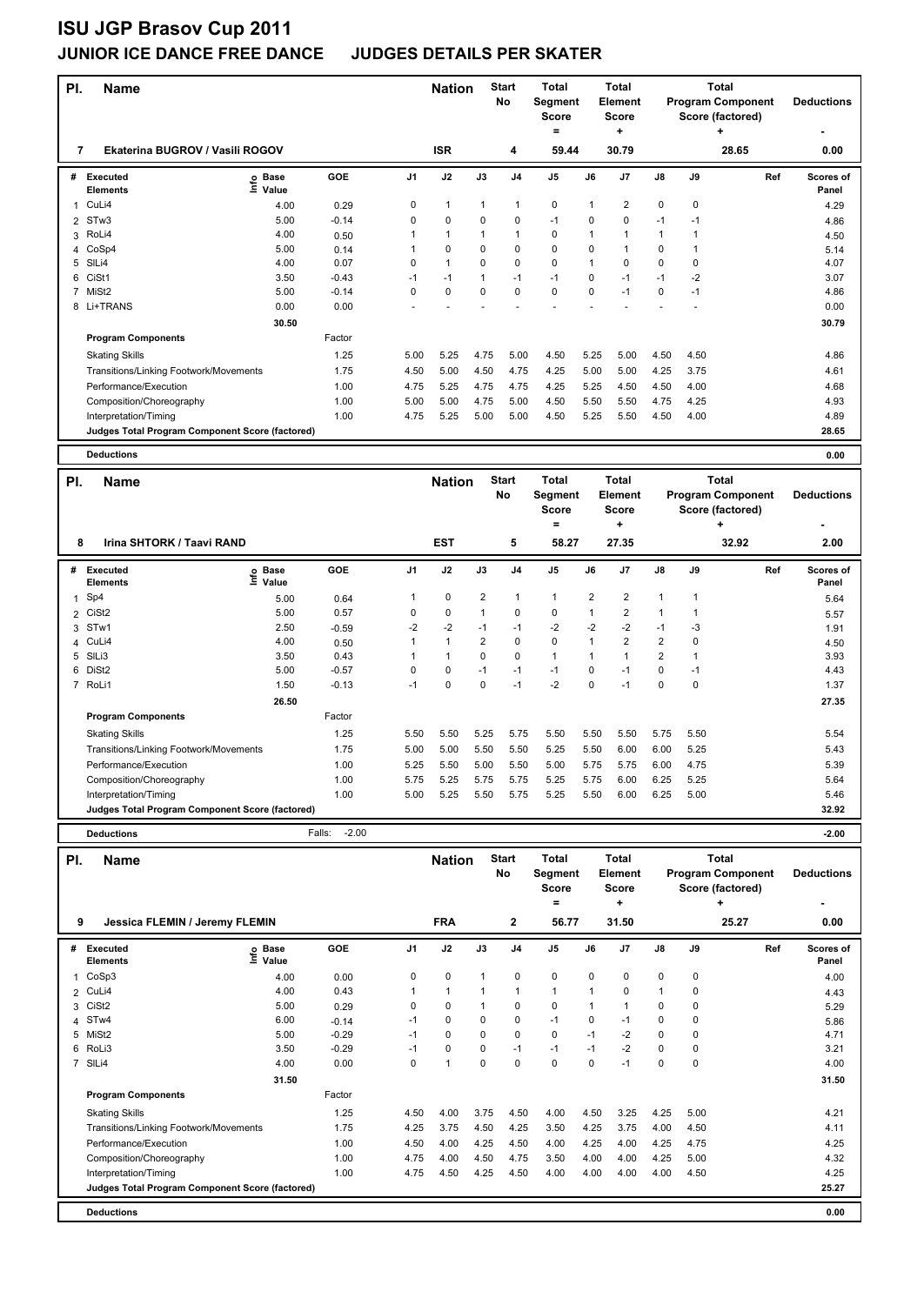### **JUNIOR ICE DANCE FREE DANCE JUDGES DETAILS PER SKATER**

| PI.          | <b>Name</b>                                     |                              |         |                | <b>Nation</b>        |                | <b>Start</b><br><b>No</b> | <b>Total</b><br><b>Segment</b><br>Score<br>= |          | <b>Total</b><br><b>Element</b><br><b>Score</b><br>+ |               |             | <b>Total</b><br><b>Program Component</b><br>Score (factored)<br>٠ | <b>Deductions</b>  |
|--------------|-------------------------------------------------|------------------------------|---------|----------------|----------------------|----------------|---------------------------|----------------------------------------------|----------|-----------------------------------------------------|---------------|-------------|-------------------------------------------------------------------|--------------------|
| 7            | Ekaterina BUGROV / Vasili ROGOV                 |                              |         |                | <b>ISR</b>           |                | 4                         | 59.44                                        |          | 30.79                                               |               |             | 28.65                                                             | 0.00               |
| #            | <b>Executed</b><br><b>Elements</b>              | <b>Base</b><br>١ifo<br>Value | GOE     | J <sub>1</sub> | J2                   | J3             | J <sub>4</sub>            | J <sub>5</sub>                               | J6       | J7                                                  | $\mathsf{J}8$ | J9          | Ref                                                               | Scores of<br>Panel |
| $\mathbf{1}$ | CuLi4                                           | 4.00                         | 0.29    | 0              | $\overline{1}$       | $\mathbf 1$    | 1                         | $\pmb{0}$                                    | -1       | 2                                                   | $\mathbf 0$   | $\mathbf 0$ |                                                                   | 4.29               |
| 2            | STw3                                            | 5.00                         | $-0.14$ | 0              | 0                    | $\Omega$       | 0                         | $-1$                                         | $\Omega$ | $\Omega$                                            | $-1$          | $-1$        |                                                                   | 4.86               |
| 3            | RoLi4                                           | 4.00                         | 0.50    |                | $\blacktriangleleft$ | 1              | 1                         | $\mathbf 0$                                  |          |                                                     | 1             |             |                                                                   | 4.50               |
| 4            | CoSp4                                           | 5.00                         | 0.14    |                | $\pmb{0}$            | 0              | 0                         | $\pmb{0}$                                    | $\Omega$ |                                                     | 0             |             |                                                                   | 5.14               |
| 5            | SIL <sub>i4</sub>                               | 4.00                         | 0.07    | 0              | $\blacktriangleleft$ | $\Omega$       | $\mathbf 0$               | $\mathbf 0$                                  | 1        | $\Omega$                                            | $\Omega$      | 0           |                                                                   | 4.07               |
| 6            | CiSt1                                           | 3.50                         | $-0.43$ | -1             | $-1$                 | $\overline{1}$ | $-1$                      | $-1$                                         | $\Omega$ | $-1$                                                | $-1$          | $-2$        |                                                                   | 3.07               |
| 7            | MiSt <sub>2</sub>                               | 5.00                         | $-0.14$ | 0              | $\mathbf 0$          | $\Omega$       | $\mathbf 0$               | $\mathbf 0$                                  | $\Omega$ | $-1$                                                | 0             | $-1$        |                                                                   | 4.86               |
|              | 8 Li+TRANS                                      | 0.00                         | 0.00    |                |                      |                |                           |                                              |          |                                                     |               |             |                                                                   | 0.00               |
|              |                                                 | 30.50                        |         |                |                      |                |                           |                                              |          |                                                     |               |             |                                                                   | 30.79              |
|              | <b>Program Components</b>                       |                              | Factor  |                |                      |                |                           |                                              |          |                                                     |               |             |                                                                   |                    |
|              | <b>Skating Skills</b>                           |                              | 1.25    | 5.00           | 5.25                 | 4.75           | 5.00                      | 4.50                                         | 5.25     | 5.00                                                | 4.50          | 4.50        |                                                                   | 4.86               |
|              | Transitions/Linking Footwork/Movements          |                              | 1.75    | 4.50           | 5.00                 | 4.50           | 4.75                      | 4.25                                         | 5.00     | 5.00                                                | 4.25          | 3.75        |                                                                   | 4.61               |
|              | Performance/Execution                           |                              | 1.00    | 4.75           | 5.25                 | 4.75           | 4.75                      | 4.25                                         | 5.25     | 4.50                                                | 4.50          | 4.00        |                                                                   | 4.68               |
|              | Composition/Choreography                        |                              | 1.00    | 5.00           | 5.00                 | 4.75           | 5.00                      | 4.50                                         | 5.50     | 5.50                                                | 4.75          | 4.25        |                                                                   | 4.93               |
|              | Interpretation/Timing                           |                              | 1.00    | 4.75           | 5.25                 | 5.00           | 5.00                      | 4.50                                         | 5.25     | 5.50                                                | 4.50          | 4.00        |                                                                   | 4.89               |
|              | Judges Total Program Component Score (factored) |                              |         |                |                      |                |                           |                                              |          |                                                     |               |             |                                                                   | 28.65              |
|              | <b>Deductions</b>                               |                              |         |                |                      |                |                           |                                              |          |                                                     |               |             |                                                                   | 0.00               |
|              |                                                 |                              |         |                |                      |                |                           |                                              |          |                                                     |               |             |                                                                   |                    |

| PI. | <b>Name</b>                                     |                              |         |          | <b>Nation</b> |      | <b>Start</b><br>No | <b>Total</b><br>Segment<br><b>Score</b><br>Ξ |                | Total<br><b>Element</b><br><b>Score</b><br>÷ |                |      | Total<br><b>Program Component</b><br>Score (factored)<br>٠ | <b>Deductions</b>  |
|-----|-------------------------------------------------|------------------------------|---------|----------|---------------|------|--------------------|----------------------------------------------|----------------|----------------------------------------------|----------------|------|------------------------------------------------------------|--------------------|
| 8   | Irina SHTORK / Taavi RAND                       |                              |         |          | <b>EST</b>    |      | 5                  | 58.27                                        |                | 27.35                                        |                |      | 32.92                                                      | 2.00               |
| #   | Executed<br><b>Elements</b>                     | <b>Base</b><br>١nfo<br>Value | GOE     | J1       | J2            | J3   | J <sub>4</sub>     | J <sub>5</sub>                               | J6             | J7                                           | $\mathsf{J}8$  | J9   | Ref                                                        | Scores of<br>Panel |
|     | 1 Sp4                                           | 5.00                         | 0.64    |          | 0             | 2    |                    |                                              | $\overline{2}$ | 2                                            |                |      |                                                            | 5.64               |
|     | 2 CiSt2                                         | 5.00                         | 0.57    | 0        | 0             |      | 0                  | 0                                            |                | 2                                            | 1              |      |                                                            | 5.57               |
|     | 3 STw1                                          | 2.50                         | $-0.59$ | $-2$     | $-2$          | $-1$ | $-1$               | $-2$                                         | $-2$           | $-2$                                         | $-1$           | -3   |                                                            | 1.91               |
|     | 4 CuLi4                                         | 4.00                         | 0.50    |          |               | 2    | $\mathbf 0$        | 0                                            |                | $\overline{2}$                               | 2              |      |                                                            | 4.50               |
|     | 5 SILi3                                         | 3.50                         | 0.43    |          |               | 0    | $\mathbf 0$        | $\mathbf{1}$                                 |                |                                              | $\overline{2}$ |      |                                                            | 3.93               |
|     | 6 DiSt2                                         | 5.00                         | $-0.57$ | $\Omega$ | 0             | $-1$ | $-1$               | $-1$                                         | $\Omega$       | $-1$                                         | 0              | $-1$ |                                                            | 4.43               |
|     | 7 RoLi1                                         | 1.50                         | $-0.13$ | $-1$     | 0             | 0    | $-1$               | $-2$                                         | 0              | $-1$                                         | $\mathbf 0$    | 0    |                                                            | 1.37               |
|     |                                                 | 26.50                        |         |          |               |      |                    |                                              |                |                                              |                |      |                                                            | 27.35              |
|     | <b>Program Components</b>                       |                              | Factor  |          |               |      |                    |                                              |                |                                              |                |      |                                                            |                    |
|     | <b>Skating Skills</b>                           |                              | 1.25    | 5.50     | 5.50          | 5.25 | 5.75               | 5.50                                         | 5.50           | 5.50                                         | 5.75           | 5.50 |                                                            | 5.54               |
|     | Transitions/Linking Footwork/Movements          |                              | 1.75    | 5.00     | 5.00          | 5.50 | 5.50               | 5.25                                         | 5.50           | 6.00                                         | 6.00           | 5.25 |                                                            | 5.43               |
|     | Performance/Execution                           |                              | 1.00    | 5.25     | 5.50          | 5.00 | 5.50               | 5.00                                         | 5.75           | 5.75                                         | 6.00           | 4.75 |                                                            | 5.39               |
|     | Composition/Choreography                        |                              | 1.00    | 5.75     | 5.25          | 5.75 | 5.75               | 5.25                                         | 5.75           | 6.00                                         | 6.25           | 5.25 |                                                            | 5.64               |
|     | Interpretation/Timing                           |                              | 1.00    | 5.00     | 5.25          | 5.50 | 5.75               | 5.25                                         | 5.50           | 6.00                                         | 6.25           | 5.00 |                                                            | 5.46               |
|     | Judges Total Program Component Score (factored) |                              |         |          |               |      |                    |                                              |                |                                              |                |      |                                                            | 32.92              |

**Deductions** Falls: -2.00 **-2.00**

| PI.            | <b>Name</b>                                     |                            |         |                | <b>Nation</b> |             | <b>Start</b><br>No | <b>Total</b><br>Segment<br><b>Score</b> |             | <b>Total</b><br><b>Element</b><br>Score |               |             | <b>Total</b><br><b>Program Component</b><br>Score (factored) | <b>Deductions</b>  |
|----------------|-------------------------------------------------|----------------------------|---------|----------------|---------------|-------------|--------------------|-----------------------------------------|-------------|-----------------------------------------|---------------|-------------|--------------------------------------------------------------|--------------------|
| 9              | Jessica FLEMIN / Jeremy FLEMIN                  |                            |         |                | <b>FRA</b>    |             | 2                  | =<br>56.77                              |             | ÷<br>31.50                              |               |             | ٠<br>25.27                                                   | ٠<br>0.00          |
|                |                                                 |                            |         |                |               |             |                    |                                         |             |                                         |               |             |                                                              |                    |
| #              | Executed<br><b>Elements</b>                     | e Base<br>E Value<br>Value | GOE     | J <sub>1</sub> | J2            | J3          | J <sub>4</sub>     | J <sub>5</sub>                          | J6          | J <sub>7</sub>                          | $\mathsf{J}8$ | J9          | Ref                                                          | Scores of<br>Panel |
| 1              | CoSp3                                           | 4.00                       | 0.00    | 0              | $\mathbf 0$   | 1           | $\mathbf 0$        | $\mathbf 0$                             | $\mathbf 0$ | $\Omega$                                | $\mathbf 0$   | $\mathbf 0$ |                                                              | 4.00               |
| $\overline{2}$ | CuLi4                                           | 4.00                       | 0.43    | $\mathbf{1}$   | $\mathbf{1}$  | 1           | $\mathbf{1}$       | $\mathbf{1}$                            | 1           | 0                                       | $\mathbf{1}$  | 0           |                                                              | 4.43               |
| 3              | CiSt <sub>2</sub>                               | 5.00                       | 0.29    | 0              | $\mathbf 0$   | 1           | 0                  | $\mathbf 0$                             | 1           |                                         | 0             | 0           |                                                              | 5.29               |
| $\overline{4}$ | ST <sub>w</sub> 4                               | 6.00                       | $-0.14$ | $-1$           | 0             | 0           | $\mathbf 0$        | $-1$                                    | 0           | $-1$                                    | 0             | 0           |                                                              | 5.86               |
|                | 5 MiSt2                                         | 5.00                       | $-0.29$ | $-1$           | $\Omega$      | $\Omega$    | $\mathbf 0$        | $\mathbf 0$                             | $-1$        | $-2$                                    | 0             | 0           |                                                              | 4.71               |
| 6              | RoLi3                                           | 3.50                       | $-0.29$ | $-1$           | 0             | 0           | $-1$               | $-1$                                    | $-1$        | $-2$                                    | 0             | 0           |                                                              | 3.21               |
|                | 7 SILi4                                         | 4.00                       | 0.00    | 0              | 1             | $\mathbf 0$ | $\Omega$           | $\mathbf 0$                             | 0           | $-1$                                    | $\mathbf 0$   | 0           |                                                              | 4.00               |
|                |                                                 | 31.50                      |         |                |               |             |                    |                                         |             |                                         |               |             |                                                              | 31.50              |
|                | <b>Program Components</b>                       |                            | Factor  |                |               |             |                    |                                         |             |                                         |               |             |                                                              |                    |
|                | <b>Skating Skills</b>                           |                            | 1.25    | 4.50           | 4.00          | 3.75        | 4.50               | 4.00                                    | 4.50        | 3.25                                    | 4.25          | 5.00        |                                                              | 4.21               |
|                | Transitions/Linking Footwork/Movements          |                            | 1.75    | 4.25           | 3.75          | 4.50        | 4.25               | 3.50                                    | 4.25        | 3.75                                    | 4.00          | 4.50        |                                                              | 4.11               |
|                | Performance/Execution                           |                            | 1.00    | 4.50           | 4.00          | 4.25        | 4.50               | 4.00                                    | 4.25        | 4.00                                    | 4.25          | 4.75        |                                                              | 4.25               |
|                | Composition/Choreography                        |                            | 1.00    | 4.75           | 4.00          | 4.50        | 4.75               | 3.50                                    | 4.00        | 4.00                                    | 4.25          | 5.00        |                                                              | 4.32               |
|                | Interpretation/Timing                           |                            | 1.00    | 4.75           | 4.50          | 4.25        | 4.50               | 4.00                                    | 4.00        | 4.00                                    | 4.00          | 4.50        |                                                              | 4.25               |
|                | Judges Total Program Component Score (factored) |                            |         |                |               |             |                    |                                         |             |                                         |               |             |                                                              | 25.27              |
|                | <b>Deductions</b>                               |                            |         |                |               |             |                    |                                         |             |                                         |               |             |                                                              | 0.00               |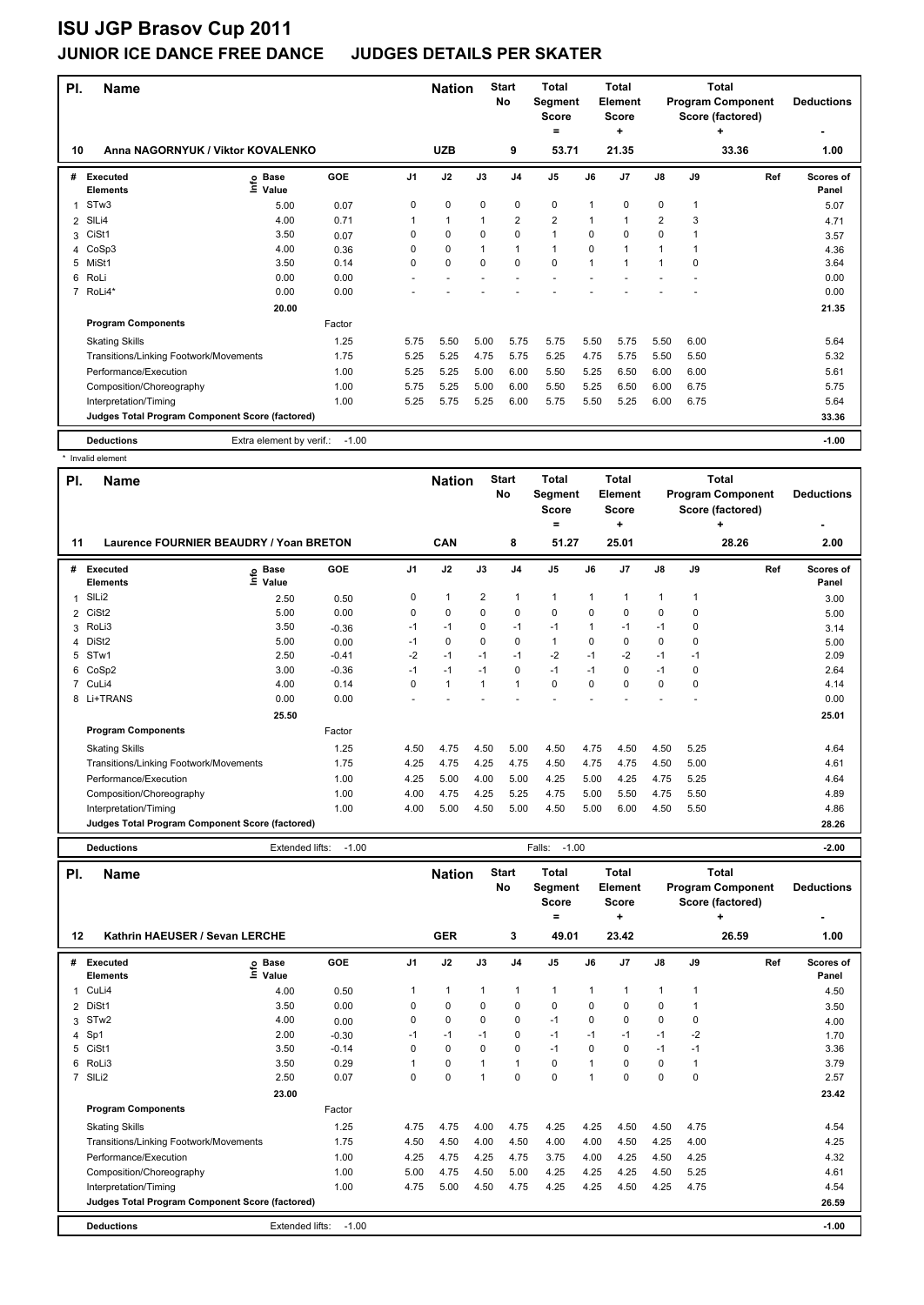#### **JUNIOR ICE DANCE FREE DANCE JUDGES DETAILS PER SKATER**

| PI.            | <b>Name</b>                                     |                              |         |                | <b>Nation</b> |              | <b>Start</b><br>No | <b>Total</b><br>Segment<br><b>Score</b> |      | Total<br><b>Element</b><br><b>Score</b> |                |             | Total<br><b>Program Component</b><br>Score (factored) | <b>Deductions</b>  |
|----------------|-------------------------------------------------|------------------------------|---------|----------------|---------------|--------------|--------------------|-----------------------------------------|------|-----------------------------------------|----------------|-------------|-------------------------------------------------------|--------------------|
| 10             | Anna NAGORNYUK / Viktor KOVALENKO               |                              |         |                | <b>UZB</b>    |              | 9                  | =<br>53.71                              |      | ÷<br>21.35                              |                |             | ٠<br>33.36                                            | 1.00               |
|                |                                                 |                              |         |                |               |              |                    |                                         |      |                                         |                |             |                                                       |                    |
| #              | Executed<br><b>Elements</b>                     | <b>Base</b><br>lnfo<br>Value | GOE     | J <sub>1</sub> | J2            | J3           | J <sub>4</sub>     | J <sub>5</sub>                          | J6   | J <sub>7</sub>                          | J8             | J9          | Ref                                                   | Scores of<br>Panel |
| 1              | STw3                                            | 5.00                         | 0.07    | 0              | 0             | 0            | 0                  | 0                                       | 1    | 0                                       | 0              | 1           |                                                       | 5.07               |
| $\overline{2}$ | SILi4                                           | 4.00                         | 0.71    |                | $\mathbf{1}$  | 1            | $\overline{2}$     | $\overline{2}$                          | 1    | 1                                       | $\overline{2}$ | 3           |                                                       | 4.71               |
| 3              | CiSt1                                           | 3.50                         | 0.07    | 0              | 0             | $\Omega$     | 0                  | $\mathbf{1}$                            | 0    | $\Omega$                                | 0              | 1           |                                                       | 3.57               |
| 4              | CoSp3                                           | 4.00                         | 0.36    | 0              | $\mathbf 0$   | $\mathbf{1}$ | $\mathbf{1}$       | $\mathbf{1}$                            | 0    | $\blacktriangleleft$                    | $\mathbf 1$    | $\mathbf 1$ |                                                       | 4.36               |
| 5              | MiSt1                                           | 3.50                         | 0.14    | 0              | $\mathbf 0$   | $\mathbf 0$  | $\mathbf 0$        | $\mathbf 0$                             | 1    | 1                                       | 1              | 0           |                                                       | 3.64               |
| 6              | RoLi                                            | 0.00                         | 0.00    | ٠              |               |              |                    |                                         |      |                                         |                |             |                                                       | 0.00               |
| 7              | RoLi4*                                          | 0.00                         | 0.00    |                |               |              |                    |                                         |      |                                         |                |             |                                                       | 0.00               |
|                |                                                 | 20.00                        |         |                |               |              |                    |                                         |      |                                         |                |             |                                                       | 21.35              |
|                | <b>Program Components</b>                       |                              | Factor  |                |               |              |                    |                                         |      |                                         |                |             |                                                       |                    |
|                | <b>Skating Skills</b>                           |                              | 1.25    | 5.75           | 5.50          | 5.00         | 5.75               | 5.75                                    | 5.50 | 5.75                                    | 5.50           | 6.00        |                                                       | 5.64               |
|                | Transitions/Linking Footwork/Movements          |                              | 1.75    | 5.25           | 5.25          | 4.75         | 5.75               | 5.25                                    | 4.75 | 5.75                                    | 5.50           | 5.50        |                                                       | 5.32               |
|                | Performance/Execution                           |                              | 1.00    | 5.25           | 5.25          | 5.00         | 6.00               | 5.50                                    | 5.25 | 6.50                                    | 6.00           | 6.00        |                                                       | 5.61               |
|                | Composition/Choreography                        |                              | 1.00    | 5.75           | 5.25          | 5.00         | 6.00               | 5.50                                    | 5.25 | 6.50                                    | 6.00           | 6.75        |                                                       | 5.75               |
|                | Interpretation/Timing                           |                              | 1.00    | 5.25           | 5.75          | 5.25         | 6.00               | 5.75                                    | 5.50 | 5.25                                    | 6.00           | 6.75        |                                                       | 5.64               |
|                | Judges Total Program Component Score (factored) |                              |         |                |               |              |                    |                                         |      |                                         |                |             |                                                       | 33.36              |
|                | <b>Deductions</b>                               | Extra element by verif.:     | $-1.00$ |                |               |              |                    |                                         |      |                                         |                |             |                                                       | $-1.00$            |
|                | * Invalid element                               |                              |         |                |               |              |                    |                                         |      |                                         |                |             |                                                       |                    |

| PI.            | <b>Name</b>                                     |                      |         |                | <b>Nation</b> |                | <b>Start</b><br>No       | Total<br>Segment<br><b>Score</b><br>$\equiv$ |          | Total<br>Element<br>Score<br>÷ |               |      | Total<br><b>Program Component</b><br>Score (factored) | <b>Deductions</b>  |
|----------------|-------------------------------------------------|----------------------|---------|----------------|---------------|----------------|--------------------------|----------------------------------------------|----------|--------------------------------|---------------|------|-------------------------------------------------------|--------------------|
|                | Laurence FOURNIER BEAUDRY / Yoan BRETON<br>11   |                      |         |                | CAN           |                | 8                        | 51.27                                        |          | 25.01                          |               |      | 28.26                                                 | 2.00               |
| #              | <b>Executed</b><br>١mfo<br><b>Elements</b>      | <b>Base</b><br>Value | GOE     | J <sub>1</sub> | J2            | J3             | J <sub>4</sub>           | J <sub>5</sub>                               | J6       | J7                             | $\mathsf{J}8$ | J9   | Ref                                                   | Scores of<br>Panel |
| 1              | SILi2                                           | 2.50                 | 0.50    | 0              | 1             | $\overline{2}$ | 1                        | 1                                            | 1        | 1                              | 1             | 1    |                                                       | 3.00               |
|                | 2 CiSt2                                         | 5.00                 | 0.00    | 0              | 0             | 0              | 0                        | 0                                            | 0        | 0                              | 0             | 0    |                                                       | 5.00               |
| 3              | RoLi3                                           | 3.50                 | $-0.36$ | $-1$           | $-1$          | 0              | $-1$                     | $-1$                                         | 1        | $-1$                           | $-1$          | 0    |                                                       | 3.14               |
| 4              | DiSt <sub>2</sub>                               | 5.00                 | 0.00    | $-1$           | $\mathbf 0$   | 0              | 0                        | $\mathbf{1}$                                 | $\Omega$ | 0                              | 0             | 0    |                                                       | 5.00               |
| 5              | STw1                                            | 2.50                 | $-0.41$ | $-2$           | $-1$          | $-1$           | $-1$                     | $-2$                                         | $-1$     | $-2$                           | $-1$          | $-1$ |                                                       | 2.09               |
| 6              | CoSp2                                           | 3.00                 | $-0.36$ | $-1$           | $-1$          | $-1$           | 0                        | $-1$                                         | $-1$     | 0                              | $-1$          | 0    |                                                       | 2.64               |
| $\overline{7}$ | CuLi4                                           | 4.00                 | 0.14    | 0              | 1             | 1              | $\overline{\phantom{a}}$ | 0                                            | $\Omega$ | 0                              | 0             | 0    |                                                       | 4.14               |
| 8              | Li+TRANS                                        | 0.00                 | 0.00    |                |               |                |                          |                                              |          |                                |               |      |                                                       | 0.00               |
|                |                                                 | 25.50                |         |                |               |                |                          |                                              |          |                                |               |      |                                                       | 25.01              |
|                | <b>Program Components</b>                       |                      | Factor  |                |               |                |                          |                                              |          |                                |               |      |                                                       |                    |
|                | <b>Skating Skills</b>                           |                      | 1.25    | 4.50           | 4.75          | 4.50           | 5.00                     | 4.50                                         | 4.75     | 4.50                           | 4.50          | 5.25 |                                                       | 4.64               |
|                | Transitions/Linking Footwork/Movements          |                      | 1.75    | 4.25           | 4.75          | 4.25           | 4.75                     | 4.50                                         | 4.75     | 4.75                           | 4.50          | 5.00 |                                                       | 4.61               |
|                | Performance/Execution                           |                      | 1.00    | 4.25           | 5.00          | 4.00           | 5.00                     | 4.25                                         | 5.00     | 4.25                           | 4.75          | 5.25 |                                                       | 4.64               |
|                | Composition/Choreography                        |                      | 1.00    | 4.00           | 4.75          | 4.25           | 5.25                     | 4.75                                         | 5.00     | 5.50                           | 4.75          | 5.50 |                                                       | 4.89               |
|                | Interpretation/Timing                           |                      | 1.00    | 4.00           | 5.00          | 4.50           | 5.00                     | 4.50                                         | 5.00     | 6.00                           | 4.50          | 5.50 |                                                       | 4.86               |
|                | Judges Total Program Component Score (factored) |                      |         |                |               |                |                          |                                              |          |                                |               |      |                                                       | 28.26              |
|                | <b>Deductions</b>                               | Extended lifts:      | $-1.00$ |                |               |                |                          | $-1.00$<br>Falls:                            |          |                                |               |      |                                                       | $-2.00$            |

| PI.            | <b>Name</b>                                     |                   |         |                | <b>Nation</b> |             | <b>Start</b><br>No | <b>Total</b><br>Segment<br><b>Score</b><br>= |                | Total<br>Element<br><b>Score</b><br>٠ |              |      | Total<br><b>Program Component</b><br>Score (factored) | <b>Deductions</b>  |
|----------------|-------------------------------------------------|-------------------|---------|----------------|---------------|-------------|--------------------|----------------------------------------------|----------------|---------------------------------------|--------------|------|-------------------------------------------------------|--------------------|
| 12             | Kathrin HAEUSER / Sevan LERCHE                  |                   |         |                | <b>GER</b>    |             | 3                  | 49.01                                        |                | 23.42                                 |              |      | 26.59                                                 | 1.00               |
| #              | Executed<br><b>Elements</b>                     | e Base<br>⊆ Value | GOE     | J <sub>1</sub> | J2            | J3          | J <sub>4</sub>     | J <sub>5</sub>                               | J6             | J <sub>7</sub>                        | J8           | J9   | Ref                                                   | Scores of<br>Panel |
| 1              | CuLi4                                           | 4.00              | 0.50    |                | $\mathbf{1}$  | 1           | $\overline{1}$     | $\mathbf{1}$                                 | $\mathbf{1}$   |                                       | $\mathbf{1}$ | 1    |                                                       | 4.50               |
| $\overline{2}$ | DiSt1                                           | 3.50              | 0.00    | 0              | $\mathbf 0$   | $\Omega$    | 0                  | $\mathbf 0$                                  | $\Omega$       | $\Omega$                              | 0            |      |                                                       | 3.50               |
| 3              | STw <sub>2</sub>                                | 4.00              | 0.00    | 0              | $\mathbf 0$   | $\mathbf 0$ | $\mathbf 0$        | $-1$                                         | $\mathbf 0$    | 0                                     | $\mathbf 0$  | 0    |                                                       | 4.00               |
|                | 4 Sp1                                           | 2.00              | $-0.30$ | $-1$           | $-1$          | $-1$        | 0                  | $-1$                                         | $-1$           | $-1$                                  | $-1$         | $-2$ |                                                       | 1.70               |
| 5              | CiSt1                                           | 3.50              | $-0.14$ | 0              | $\mathbf 0$   | $\Omega$    | 0                  | $-1$                                         | 0              | $\Omega$                              | $-1$         | $-1$ |                                                       | 3.36               |
| 6              | RoLi3                                           | 3.50              | 0.29    |                | $\mathbf 0$   |             | 1                  | $\mathbf 0$                                  | $\overline{ }$ | $\Omega$                              | $\mathbf 0$  |      |                                                       | 3.79               |
|                | 7 SILi2                                         | 2.50              | 0.07    | 0              | $\mathbf 0$   |             | $\mathbf 0$        | $\mathbf 0$                                  | $\overline{ }$ | $\Omega$                              | $\mathbf 0$  | 0    |                                                       | 2.57               |
|                |                                                 | 23.00             |         |                |               |             |                    |                                              |                |                                       |              |      |                                                       | 23.42              |
|                | <b>Program Components</b>                       |                   | Factor  |                |               |             |                    |                                              |                |                                       |              |      |                                                       |                    |
|                | <b>Skating Skills</b>                           |                   | 1.25    | 4.75           | 4.75          | 4.00        | 4.75               | 4.25                                         | 4.25           | 4.50                                  | 4.50         | 4.75 |                                                       | 4.54               |
|                | Transitions/Linking Footwork/Movements          |                   | 1.75    | 4.50           | 4.50          | 4.00        | 4.50               | 4.00                                         | 4.00           | 4.50                                  | 4.25         | 4.00 |                                                       | 4.25               |
|                | Performance/Execution                           |                   | 1.00    | 4.25           | 4.75          | 4.25        | 4.75               | 3.75                                         | 4.00           | 4.25                                  | 4.50         | 4.25 |                                                       | 4.32               |
|                | Composition/Choreography                        |                   | 1.00    | 5.00           | 4.75          | 4.50        | 5.00               | 4.25                                         | 4.25           | 4.25                                  | 4.50         | 5.25 |                                                       | 4.61               |
|                | Interpretation/Timing                           |                   | 1.00    | 4.75           | 5.00          | 4.50        | 4.75               | 4.25                                         | 4.25           | 4.50                                  | 4.25         | 4.75 |                                                       | 4.54               |
|                | Judges Total Program Component Score (factored) |                   |         |                |               |             |                    |                                              |                |                                       |              |      |                                                       | 26.59              |
|                | <b>Deductions</b>                               | Extended lifts:   | $-1.00$ |                |               |             |                    |                                              |                |                                       |              |      |                                                       | $-1.00$            |